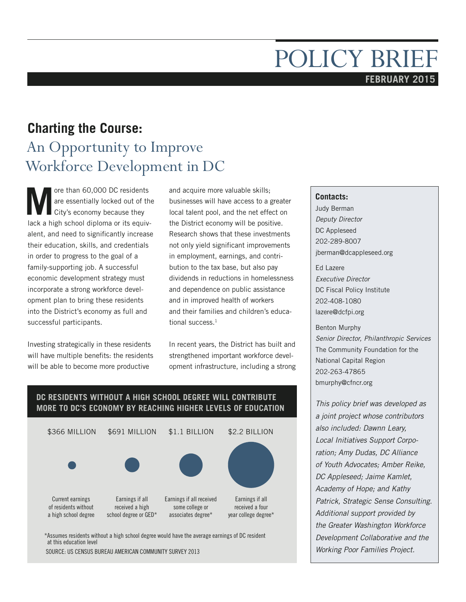# POLICY BRIEF **FEBRUARY 2015**

# **Charting the Course:**

# An Opportunity to Improve Workforce Development in DC

**M** ore than 60,000 DC residents<br>are essentially locked out of the City's economy because they are essentially locked out of the City's economy because they lack a high school diploma or its equivalent, and need to significantly increase their education, skills, and credentials in order to progress to the goal of a family-supporting job. A successful economic development strategy must incorporate a strong workforce development plan to bring these residents into the District's economy as full and successful participants.

Investing strategically in these residents will have multiple benefits: the residents will be able to become more productive

and acquire more valuable skills; businesses will have access to a greater local talent pool, and the net effect on the District economy will be positive. Research shows that these investments not only yield significant improvements in employment, earnings, and contribution to the tax base, but also pay dividends in reductions in homelessness and dependence on public assistance and in improved health of workers and their families and children's educational success.<sup>1</sup>

In recent years, the District has built and strengthened important workforce development infrastructure, including a strong

#### **DC RESIDENTS WITHOUT A HIGH SCHOOL DEGREE WILL CONTRIBUTE MORE TO DC'S ECONOMY BY REACHING HIGHER LEVELS OF EDUCATION** \$366 MILLION Current earnings of residents without a high school degree Earnings if all received a high school degree or GED\* Earnings if all received some college or associates degree\* Earnings if all received a four year college degree\* \$691 MILLION \$1.1 BILLION \$2.2 BILLION

\*Assumes residents without a high school degree would have the average earnings of DC resident at this education level

SOURCE: US CENSUS BUREAU AMERICAN COMMUNITY SURVEY 2013

#### **Contacts:**

Judy Berman *Deputy Director*  DC Appleseed 202-289-8007 jberman@dcappleseed.org

Ed Lazere *Executive Director* DC Fiscal Policy Institute 202-408-1080 lazere@dcfpi.org

Benton Murphy *Senior Director, Philanthropic Services* The Community Foundation for the National Capital Region 202-263-47865 bmurphy@cfncr.org

*This policy brief was developed as a joint project whose contributors also included: Dawnn Leary, Local Initiatives Support Corporation; Amy Dudas, DC Alliance of Youth Advocates; Amber Reike, DC Appleseed; Jaime Kamlet, Academy of Hope; and Kathy Patrick, Strategic Sense Consulting. Additional support provided by the Greater Washington Workforce Development Collaborative and the Working Poor Families Project.*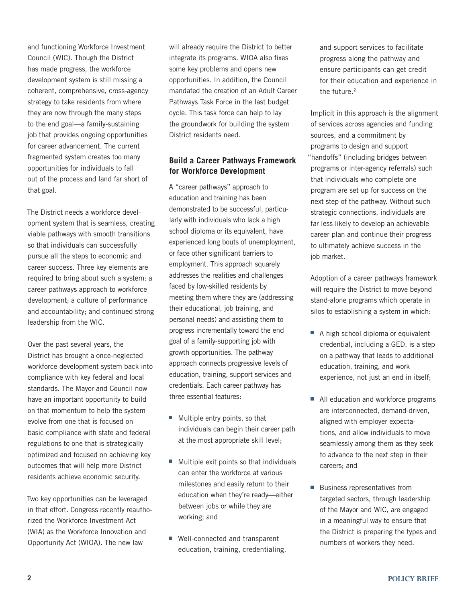and functioning Workforce Investment Council (WIC). Though the District has made progress, the workforce development system is still missing a coherent, comprehensive, cross-agency strategy to take residents from where they are now through the many steps to the end goal—a family-sustaining job that provides ongoing opportunities for career advancement. The current fragmented system creates too many opportunities for individuals to fall out of the process and land far short of that goal.

The District needs a workforce development system that is seamless, creating viable pathways with smooth transitions so that individuals can successfully pursue all the steps to economic and career success. Three key elements are required to bring about such a system: a career pathways approach to workforce development; a culture of performance and accountability; and continued strong leadership from the WIC.

Over the past several years, the District has brought a once-neglected workforce development system back into compliance with key federal and local standards. The Mayor and Council now have an important opportunity to build on that momentum to help the system evolve from one that is focused on basic compliance with state and federal regulations to one that is strategically optimized and focused on achieving key outcomes that will help more District residents achieve economic security.

Two key opportunities can be leveraged in that effort. Congress recently reauthorized the Workforce Investment Act (WIA) as the Workforce Innovation and Opportunity Act (WIOA). The new law

will already require the District to better integrate its programs. WIOA also fixes some key problems and opens new opportunities. In addition, the Council mandated the creation of an Adult Career Pathways Task Force in the last budget cycle. This task force can help to lay the groundwork for building the system District residents need.

### **Build a Career Pathways Framework for Workforce Development**

A "career pathways" approach to education and training has been demonstrated to be successful, particularly with individuals who lack a high school diploma or its equivalent, have experienced long bouts of unemployment, or face other significant barriers to employment. This approach squarely addresses the realities and challenges faced by low-skilled residents by meeting them where they are (addressing their educational, job training, and personal needs) and assisting them to progress incrementally toward the end goal of a family-supporting job with growth opportunities. The pathway approach connects progressive levels of education, training, support services and credentials. Each career pathway has three essential features:

- **Multiple entry points, so that** individuals can begin their career path at the most appropriate skill level;
- Multiple exit points so that individuals can enter the workforce at various milestones and easily return to their education when they're ready—either between jobs or while they are working; and
- Well-connected and transparent education, training, credentialing,

and support services to facilitate progress along the pathway and ensure participants can get credit for their education and experience in the future.<sup>2</sup>

Implicit in this approach is the alignment of services across agencies and funding sources, and a commitment by programs to design and support "handoffs" (including bridges between programs or inter-agency referrals) such that individuals who complete one program are set up for success on the next step of the pathway. Without such strategic connections, individuals are far less likely to develop an achievable career plan and continue their progress to ultimately achieve success in the job market.

Adoption of a career pathways framework will require the District to move beyond stand-alone programs which operate in silos to establishing a system in which:

- A high school diploma or equivalent credential, including a GED, is a step on a pathway that leads to additional education, training, and work experience, not just an end in itself;
- All education and workforce programs are interconnected, demand-driven, aligned with employer expectations, and allow individuals to move seamlessly among them as they seek to advance to the next step in their careers; and
- Business representatives from targeted sectors, through leadership of the Mayor and WIC, are engaged in a meaningful way to ensure that the District is preparing the types and numbers of workers they need.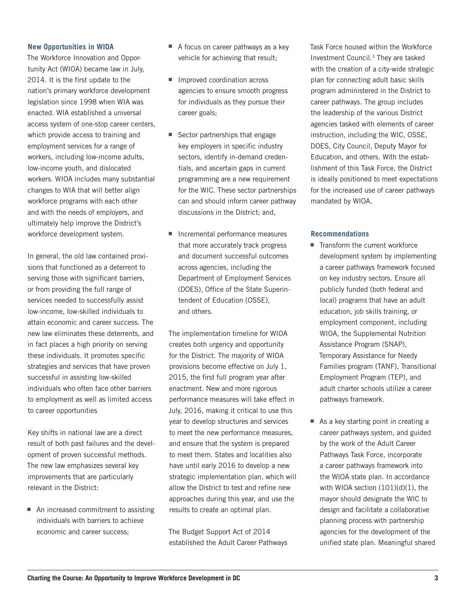#### **New Opportunities in WIOA**

The Workforce Innovation and Opportunity Act (WIOA) became law in July, 2014. It is the first update to the nation's primary workforce development legislation since 1998 when WIA was enacted. WIA established a universal access system of one-stop career centers, which provide access to training and employment services for a range of workers, including low-income adults, low-income youth, and dislocated workers. WIOA includes many substantial changes to WIA that will better align workforce programs with each other and with the needs of employers, and ultimately help improve the District's workforce development system.

In general, the old law contained provisions that functioned as a deterrent to serving those with significant barriers, or from providing the full range of services needed to successfully assist low-income, low-skilled individuals to attain economic and career success. The new law eliminates these deterrents, and in fact places a high priority on serving these individuals. It promotes specific strategies and services that have proven successful in assisting low-skilled individuals who often face other barriers to employment as well as limited access to career opportunities

Key shifts in national law are a direct result of both past failures and the development of proven successful methods. The new law emphasizes several key improvements that are particularly relevant in the District:

■ An increased commitment to assisting individuals with barriers to achieve economic and career success;

- A focus on career pathways as a key vehicle for achieving that result;
- **I** Improved coordination across agencies to ensure smooth progress for individuals as they pursue their career goals;
- Sector partnerships that engage key employers in specific industry sectors, identify in-demand credentials, and ascertain gaps in current programming are a new requirement for the WIC. These sector partnerships can and should inform career pathway discussions in the District; and,
- Incremental performance measures that more accurately track progress and document successful outcomes across agencies, including the Department of Employment Services (DOES), Office of the State Superintendent of Education (OSSE), and others.

The implementation timeline for WIOA creates both urgency and opportunity for the District. The majority of WIOA provisions become effective on July 1, 2015, the first full program year after enactment. New and more rigorous performance measures will take effect in July, 2016, making it critical to use this year to develop structures and services to meet the new performance measures, and ensure that the system is prepared to meet them. States and localities also have until early 2016 to develop a new strategic implementation plan, which will allow the District to test and refine new approaches during this year, and use the results to create an optimal plan.

The Budget Support Act of 2014 established the Adult Career Pathways Task Force housed within the Workforce Investment Council.3 They are tasked with the creation of a city-wide strategic plan for connecting adult basic skills program administered in the District to career pathways. The group includes the leadership of the various District agencies tasked with elements of career instruction, including the WIC, OSSE, DOES, City Council, Deputy Mayor for Education, and others. With the establishment of this Task Force, the District is ideally positioned to meet expectations for the increased use of career pathways mandated by WIOA.

#### **Recommendations**

- Transform the current workforce development system by implementing a career pathways framework focused on key industry sectors. Ensure all publicly funded (both federal and local) programs that have an adult education, job skills training, or employment component, including WIOA, the Supplemental Nutrition Assistance Program (SNAP), Temporary Assistance for Needy Families program (TANF), Transitional Employment Program (TEP), and adult charter schools utilize a career pathways framework.
- As a key starting point in creating a career pathways system, and guided by the work of the Adult Career Pathways Task Force, incorporate a career pathways framework into the WIOA state plan. In accordance with WIOA section (101)(d)(1), the mayor should designate the WIC to design and facilitate a collaborative planning process with partnership agencies for the development of the unified state plan. Meaningful shared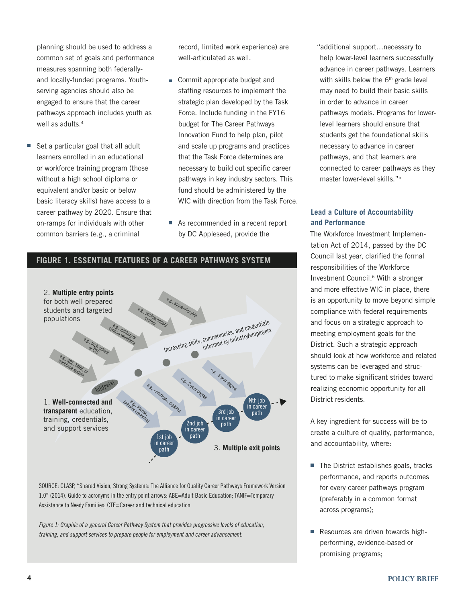planning should be used to address a common set of goals and performance measures spanning both federallyand locally-funded programs. Youthserving agencies should also be engaged to ensure that the career pathways approach includes youth as well as adults.<sup>4</sup>

Set a particular goal that all adult learners enrolled in an educational or workforce training program (those without a high school diploma or equivalent and/or basic or below basic literacy skills) have access to a career pathway by 2020. Ensure that on-ramps for individuals with other common barriers (e.g., a criminal

record, limited work experience) are well-articulated as well.

- Commit appropriate budget and staffing resources to implement the strategic plan developed by the Task Force. Include funding in the FY16 budget for The Career Pathways Innovation Fund to help plan, pilot and scale up programs and practices that the Task Force determines are necessary to build out specific career pathways in key industry sectors. This fund should be administered by the WIC with direction from the Task Force.
- As recommended in a recent report by DC Appleseed, provide the

**FIGURE 1. ESSENTIAL FEATURES OF A CAREER PATHWAYS SYSTEM**



SOURCE: CLASP, "Shared Vision, Strong Systems: The Alliance for Quality Career Pathways Framework Version 1.0" (2014). Guide to acronyms in the entry point arrows: ABE=Adult Basic Education; TANIF=Temporary Assistance to Needy Families; CTE=Career and technical education

Figure 1: Graphic of a general Career Pathway System that provides progressive levels of education, training, and support services to prepare people for employment and career advancement.

"additional support…necessary to help lower-level learners successfully advance in career pathways. Learners with skills below the  $6<sup>th</sup>$  grade level may need to build their basic skills in order to advance in career pathways models. Programs for lowerlevel learners should ensure that students get the foundational skills necessary to advance in career pathways, and that learners are connected to career pathways as they master lower-level skills."5

## **Lead a Culture of Accountability and Performance**

The Workforce Investment Implementation Act of 2014, passed by the DC Council last year, clarified the formal responsibilities of the Workforce Investment Council.6 With a stronger and more effective WIC in place, there is an opportunity to move beyond simple compliance with federal requirements and focus on a strategic approach to meeting employment goals for the District. Such a strategic approach should look at how workforce and related systems can be leveraged and structured to make significant strides toward realizing economic opportunity for all District residents.

A key ingredient for success will be to create a culture of quality, performance, and accountability, where:

- The District establishes goals, tracks performance, and reports outcomes for every career pathways program (preferably in a common format across programs);
- Resources are driven towards highperforming, evidence-based or promising programs;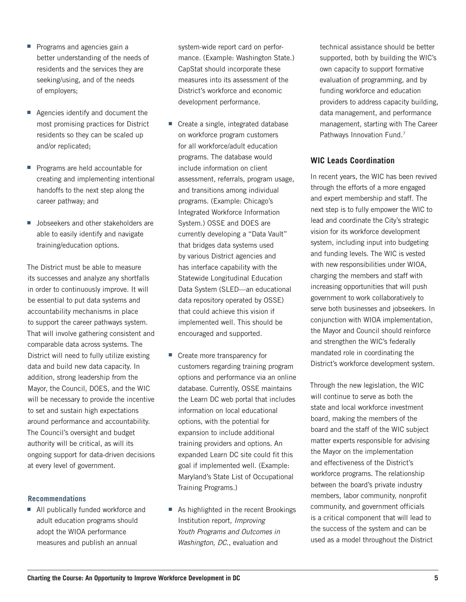- **Programs and agencies gain a** better understanding of the needs of residents and the services they are seeking/using, and of the needs of employers;
- Agencies identify and document the most promising practices for District residents so they can be scaled up and/or replicated;
- **Programs are held accountable for** creating and implementing intentional handoffs to the next step along the career pathway; and
- **Jobseekers and other stakeholders are** able to easily identify and navigate training/education options.

The District must be able to measure its successes and analyze any shortfalls in order to continuously improve. It will be essential to put data systems and accountability mechanisms in place to support the career pathways system. That will involve gathering consistent and comparable data across systems. The District will need to fully utilize existing data and build new data capacity. In addition, strong leadership from the Mayor, the Council, DOES, and the WIC will be necessary to provide the incentive to set and sustain high expectations around performance and accountability. The Council's oversight and budget authority will be critical, as will its ongoing support for data-driven decisions at every level of government.

#### **Recommendations**

■ All publically funded workforce and adult education programs should adopt the WIOA performance measures and publish an annual

system-wide report card on performance. (Example: Washington State.) CapStat should incorporate these measures into its assessment of the District's workforce and economic development performance.

- Create a single, integrated database on workforce program customers for all workforce/adult education programs. The database would include information on client assessment, referrals, program usage, and transitions among individual programs. (Example: Chicago's Integrated Workforce Information System.) OSSE and DOES are currently developing a "Data Vault" that bridges data systems used by various District agencies and has interface capability with the Statewide Longitudinal Education Data System (SLED—an educational data repository operated by OSSE) that could achieve this vision if implemented well. This should be encouraged and supported.
- **Create more transparency for** customers regarding training program options and performance via an online database. Currently, OSSE maintains the Learn DC web portal that includes information on local educational options, with the potential for expansion to include additional training providers and options. An expanded Learn DC site could fit this goal if implemented well. (Example: Maryland's State List of Occupational Training Programs.)
- As highlighted in the recent Brookings Institution report, *Improving Youth Programs and Outcomes in Washington, DC.,* evaluation and

technical assistance should be better supported, both by building the WIC's own capacity to support formative evaluation of programming, and by funding workforce and education providers to address capacity building, data management, and performance management, starting with The Career Pathways Innovation Fund.<sup>7</sup>

#### **WIC Leads Coordination**

In recent years, the WIC has been revived through the efforts of a more engaged and expert membership and staff. The next step is to fully empower the WIC to lead and coordinate the City's strategic vision for its workforce development system, including input into budgeting and funding levels. The WIC is vested with new responsibilities under WIOA, charging the members and staff with increasing opportunities that will push government to work collaboratively to serve both businesses and jobseekers. In conjunction with WIOA implementation, the Mayor and Council should reinforce and strengthen the WIC's federally mandated role in coordinating the District's workforce development system.

Through the new legislation, the WIC will continue to serve as both the state and local workforce investment board, making the members of the board and the staff of the WIC subject matter experts responsible for advising the Mayor on the implementation and effectiveness of the District's workforce programs. The relationship between the board's private industry members, labor community, nonprofit community, and government officials is a critical component that will lead to the success of the system and can be used as a model throughout the District